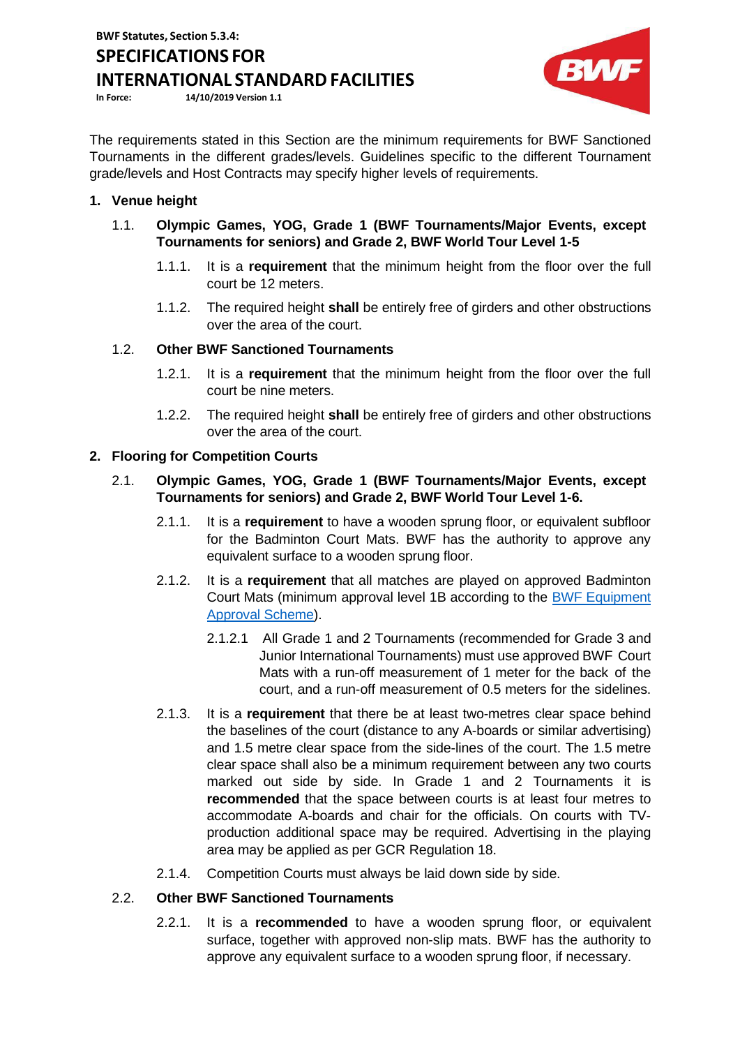# **SPECIFICATIONS FOR**

**INTERNATIONAL STANDARD FACILITIES** 

**In Force: 14/10/2019 Version 1.1**



The requirements stated in this Section are the minimum requirements for BWF Sanctioned Tournaments in the different grades/levels. Guidelines specific to the different Tournament grade/levels and Host Contracts may specify higher levels of requirements.

# **1. Venue height**

- 1.1. **Olympic Games, YOG, Grade 1 (BWF Tournaments/Major Events, except Tournaments for seniors) and Grade 2, BWF World Tour Level 1-5**
	- 1.1.1. It is a **requirement** that the minimum height from the floor over the full court be 12 meters.
	- 1.1.2. The required height **shall** be entirely free of girders and other obstructions over the area of the court.

# 1.2. **Other BWF Sanctioned Tournaments**

- 1.2.1. It is a **requirement** that the minimum height from the floor over the full court be nine meters.
- 1.2.2. The required height **shall** be entirely free of girders and other obstructions over the area of the court.

# **2. Flooring for Competition Courts**

## 2.1. **Olympic Games, YOG, Grade 1 (BWF Tournaments/Major Events, except Tournaments for seniors) and Grade 2, BWF World Tour Level 1-6.**

- 2.1.1. It is a **requirement** to have a wooden sprung floor, or equivalent subfloor for the Badminton Court Mats. BWF has the authority to approve any equivalent surface to a wooden sprung floor.
- 2.1.2. It is a **requirement** that all matches are played on approved Badminton Court Mats (minimum approval level 1B according to the BWF [Equipment](http://bwfcorporate.com/events/equipment-approval-scheme/) [Approval Scheme\)](http://bwfcorporate.com/events/equipment-approval-scheme/).
	- 2.1.2.1 All Grade 1 and 2 Tournaments (recommended for Grade 3 and Junior International Tournaments) must use approved BWF Court Mats with a run-off measurement of 1 meter for the back of the court, and a run-off measurement of 0.5 meters for the sidelines.
- 2.1.3. It is a **requirement** that there be at least two-metres clear space behind the baselines of the court (distance to any A-boards or similar advertising) and 1.5 metre clear space from the side-lines of the court. The 1.5 metre clear space shall also be a minimum requirement between any two courts marked out side by side. In Grade 1 and 2 Tournaments it is **recommended** that the space between courts is at least four metres to accommodate A-boards and chair for the officials. On courts with TVproduction additional space may be required. Advertising in the playing area may be applied as per GCR Regulation 18.
- 2.1.4. Competition Courts must always be laid down side by side.

# 2.2. **Other BWF Sanctioned Tournaments**

2.2.1. It is a **recommended** to have a wooden sprung floor, or equivalent surface, together with approved non-slip mats. BWF has the authority to approve any equivalent surface to a wooden sprung floor, if necessary.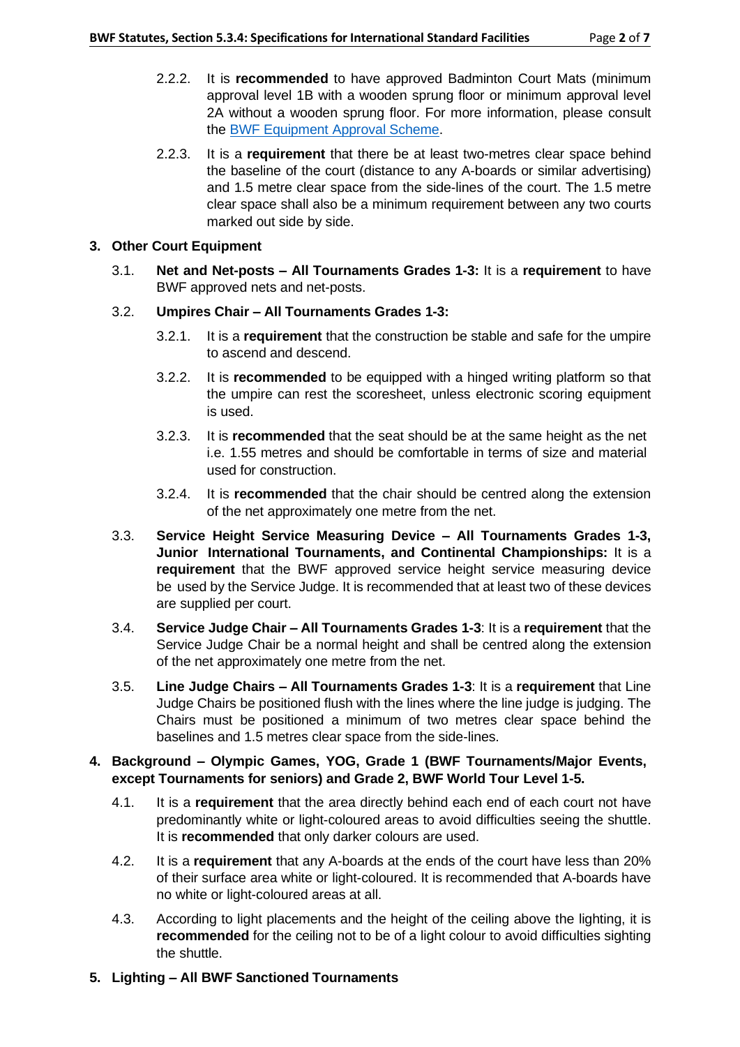- 2.2.2. It is **recommended** to have approved Badminton Court Mats (minimum approval level 1B with a wooden sprung floor or minimum approval level 2A without a wooden sprung floor. For more information, please consult the BWF Equipment [Approval Scheme.](http://bwfcorporate.com/events/equipment-approval-scheme/)
- 2.2.3. It is a **requirement** that there be at least two-metres clear space behind the baseline of the court (distance to any A-boards or similar advertising) and 1.5 metre clear space from the side-lines of the court. The 1.5 metre clear space shall also be a minimum requirement between any two courts marked out side by side.

## **3. Other Court Equipment**

3.1. **Net and Net-posts – All Tournaments Grades 1-3:** It is a **requirement** to have BWF approved nets and net-posts.

# 3.2. **Umpires Chair – All Tournaments Grades 1-3:**

- 3.2.1. It is a **requirement** that the construction be stable and safe for the umpire to ascend and descend.
- 3.2.2. It is **recommended** to be equipped with a hinged writing platform so that the umpire can rest the scoresheet, unless electronic scoring equipment is used.
- 3.2.3. It is **recommended** that the seat should be at the same height as the net i.e. 1.55 metres and should be comfortable in terms of size and material used for construction.
- 3.2.4. It is **recommended** that the chair should be centred along the extension of the net approximately one metre from the net.
- 3.3. **Service Height Service Measuring Device – All Tournaments Grades 1-3, Junior International Tournaments, and Continental Championships:** It is a **requirement** that the BWF approved service height service measuring device be used by the Service Judge. It is recommended that at least two of these devices are supplied per court.
- 3.4. **Service Judge Chair – All Tournaments Grades 1-3**: It is a **requirement** that the Service Judge Chair be a normal height and shall be centred along the extension of the net approximately one metre from the net.
- 3.5. **Line Judge Chairs – All Tournaments Grades 1-3**: It is a **requirement** that Line Judge Chairs be positioned flush with the lines where the line judge is judging. The Chairs must be positioned a minimum of two metres clear space behind the baselines and 1.5 metres clear space from the side-lines.

#### **4. Background – Olympic Games, YOG, Grade 1 (BWF Tournaments/Major Events, except Tournaments for seniors) and Grade 2, BWF World Tour Level 1-5.**

- 4.1. It is a **requirement** that the area directly behind each end of each court not have predominantly white or light-coloured areas to avoid difficulties seeing the shuttle. It is **recommended** that only darker colours are used.
- 4.2. It is a **requirement** that any A-boards at the ends of the court have less than 20% of their surface area white or light-coloured. It is recommended that A-boards have no white or light-coloured areas at all.
- 4.3. According to light placements and the height of the ceiling above the lighting, it is **recommended** for the ceiling not to be of a light colour to avoid difficulties sighting the shuttle.
- **5. Lighting – All BWF Sanctioned Tournaments**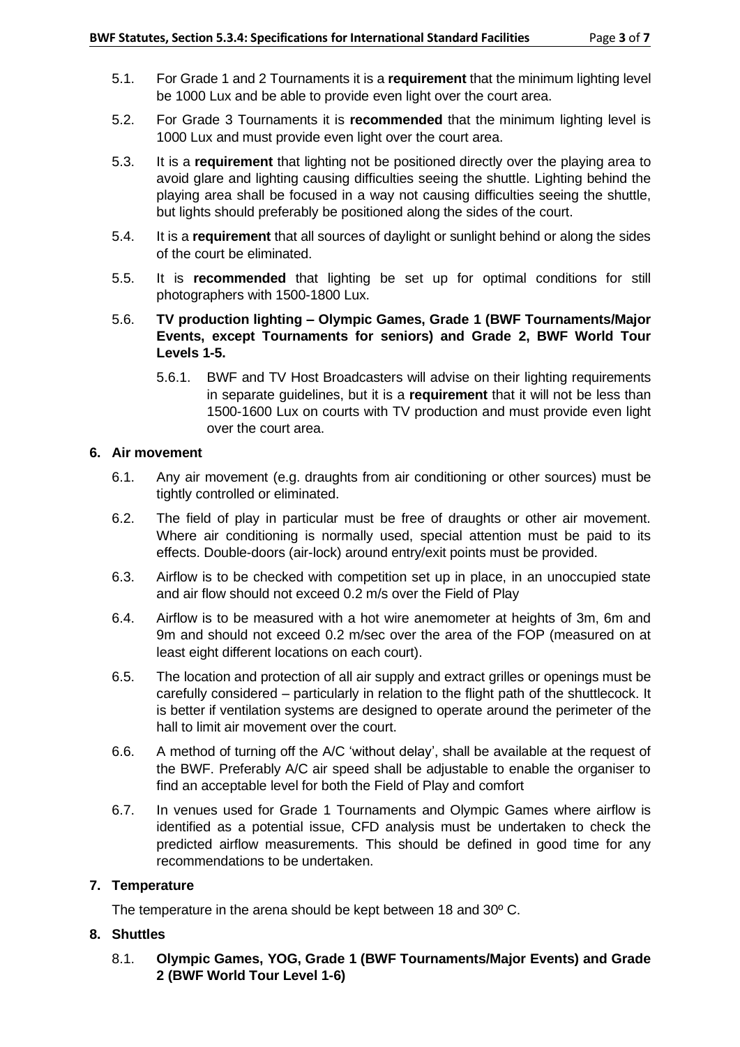- 5.1. For Grade 1 and 2 Tournaments it is a **requirement** that the minimum lighting level be 1000 Lux and be able to provide even light over the court area.
- 5.2. For Grade 3 Tournaments it is **recommended** that the minimum lighting level is 1000 Lux and must provide even light over the court area.
- 5.3. It is a **requirement** that lighting not be positioned directly over the playing area to avoid glare and lighting causing difficulties seeing the shuttle. Lighting behind the playing area shall be focused in a way not causing difficulties seeing the shuttle, but lights should preferably be positioned along the sides of the court.
- 5.4. It is a **requirement** that all sources of daylight or sunlight behind or along the sides of the court be eliminated.
- 5.5. It is **recommended** that lighting be set up for optimal conditions for still photographers with 1500-1800 Lux.
- 5.6. **TV production lighting – Olympic Games, Grade 1 (BWF Tournaments/Major Events, except Tournaments for seniors) and Grade 2, BWF World Tour Levels 1-5.**
	- 5.6.1. BWF and TV Host Broadcasters will advise on their lighting requirements in separate guidelines, but it is a **requirement** that it will not be less than 1500-1600 Lux on courts with TV production and must provide even light over the court area.

#### **6. Air movement**

- 6.1. Any air movement (e.g. draughts from air conditioning or other sources) must be tightly controlled or eliminated.
- 6.2. The field of play in particular must be free of draughts or other air movement. Where air conditioning is normally used, special attention must be paid to its effects. Double-doors (air-lock) around entry/exit points must be provided.
- 6.3. Airflow is to be checked with competition set up in place, in an unoccupied state and air flow should not exceed 0.2 m/s over the Field of Play
- 6.4. Airflow is to be measured with a hot wire anemometer at heights of 3m, 6m and 9m and should not exceed 0.2 m/sec over the area of the FOP (measured on at least eight different locations on each court).
- 6.5. The location and protection of all air supply and extract grilles or openings must be carefully considered – particularly in relation to the flight path of the shuttlecock. It is better if ventilation systems are designed to operate around the perimeter of the hall to limit air movement over the court.
- 6.6. A method of turning off the A/C 'without delay', shall be available at the request of the BWF. Preferably A/C air speed shall be adjustable to enable the organiser to find an acceptable level for both the Field of Play and comfort
- 6.7. In venues used for Grade 1 Tournaments and Olympic Games where airflow is identified as a potential issue, CFD analysis must be undertaken to check the predicted airflow measurements. This should be defined in good time for any recommendations to be undertaken.

#### **7. Temperature**

The temperature in the arena should be kept between 18 and 30º C.

#### **8. Shuttles**

8.1. **Olympic Games, YOG, Grade 1 (BWF Tournaments/Major Events) and Grade 2 (BWF World Tour Level 1-6)**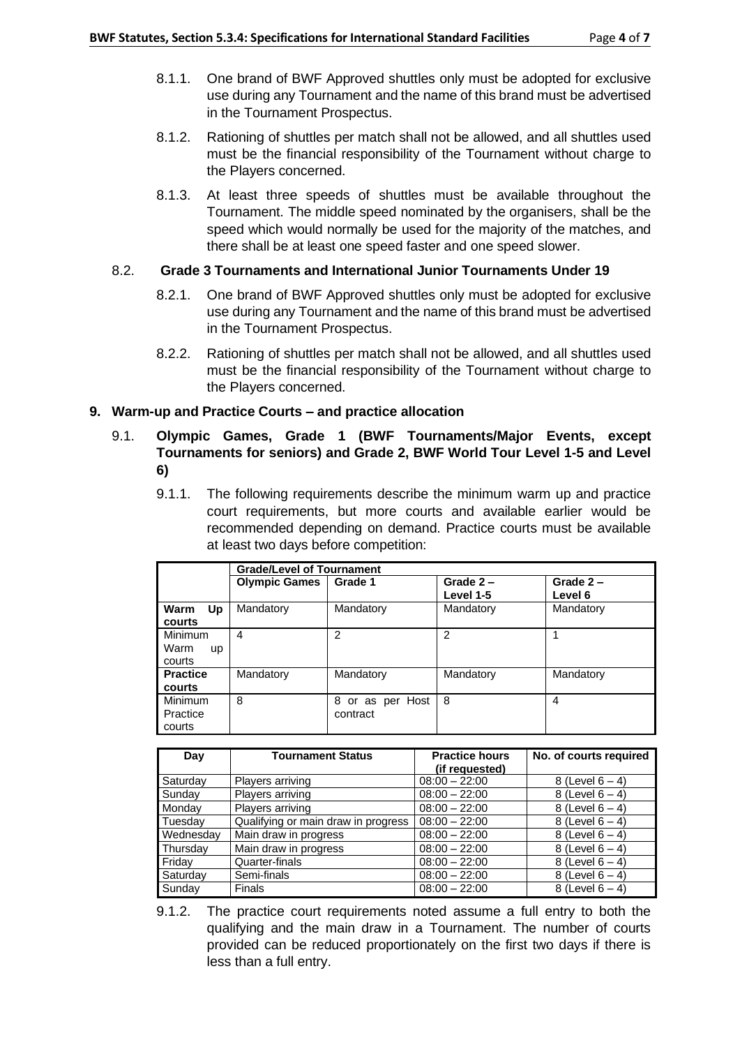- 8.1.1. One brand of BWF Approved shuttles only must be adopted for exclusive use during any Tournament and the name of this brand must be advertised in the Tournament Prospectus.
- 8.1.2. Rationing of shuttles per match shall not be allowed, and all shuttles used must be the financial responsibility of the Tournament without charge to the Players concerned.
- 8.1.3. At least three speeds of shuttles must be available throughout the Tournament. The middle speed nominated by the organisers, shall be the speed which would normally be used for the majority of the matches, and there shall be at least one speed faster and one speed slower.

#### 8.2. **Grade 3 Tournaments and International Junior Tournaments Under 19**

- 8.2.1. One brand of BWF Approved shuttles only must be adopted for exclusive use during any Tournament and the name of this brand must be advertised in the Tournament Prospectus.
- 8.2.2. Rationing of shuttles per match shall not be allowed, and all shuttles used must be the financial responsibility of the Tournament without charge to the Players concerned.

# **9. Warm-up and Practice Courts – and practice allocation**

- 9.1. **Olympic Games, Grade 1 (BWF Tournaments/Major Events, except Tournaments for seniors) and Grade 2, BWF World Tour Level 1-5 and Level 6)**
	- 9.1.1. The following requirements describe the minimum warm up and practice court requirements, but more courts and available earlier would be recommended depending on demand. Practice courts must be available at least two days before competition:

|                   | <b>Grade/Level of Tournament</b> |                     |                |             |  |
|-------------------|----------------------------------|---------------------|----------------|-------------|--|
|                   | <b>Olympic Games</b>             | Grade 1             | Grade $2 -$    | Grade $2 -$ |  |
|                   |                                  |                     | Level 1-5      | Level 6     |  |
| Warm<br>Up        | Mandatory                        | Mandatory           | Mandatory      | Mandatory   |  |
| courts            |                                  |                     |                |             |  |
| <b>Minimum</b>    | 4                                | $\mathfrak{p}$      | $\overline{2}$ | 1           |  |
| Warm<br><b>up</b> |                                  |                     |                |             |  |
| courts            |                                  |                     |                |             |  |
| <b>Practice</b>   | Mandatory                        | Mandatory           | Mandatory      | Mandatory   |  |
| courts            |                                  |                     |                |             |  |
| Minimum           | 8                                | or as per Host<br>8 | 8              | 4           |  |
| Practice          |                                  | contract            |                |             |  |
| courts            |                                  |                     |                |             |  |

| Day       | <b>Tournament Status</b>            | <b>Practice hours</b> | No. of courts required |
|-----------|-------------------------------------|-----------------------|------------------------|
|           |                                     | (if requested)        |                        |
| Saturday  | Players arriving                    | $08:00 - 22:00$       | 8 (Level $6 - 4$ )     |
| Sunday    | Players arriving                    | $08:00 - 22:00$       | 8 (Level $6 - 4$ )     |
| Monday    | Players arriving                    | $08:00 - 22:00$       | 8 (Level $6 - 4$ )     |
| Tuesday   | Qualifying or main draw in progress | $08:00 - 22:00$       | 8 (Level $6 - 4$ )     |
| Wednesday | Main draw in progress               | $08:00 - 22:00$       | 8 (Level $6 - 4$ )     |
| Thursday  | Main draw in progress               | $08:00 - 22:00$       | 8 (Level $6 - 4$ )     |
| Friday    | Quarter-finals                      | $08:00 - 22:00$       | 8 (Level $6 - 4$ )     |
| Saturday  | Semi-finals                         | $08:00 - 22:00$       | 8 (Level $6 - 4$ )     |
| Sunday    | Finals                              | $08:00 - 22:00$       | 8 (Level $6 - 4$ )     |

<sup>9.1.2.</sup> The practice court requirements noted assume a full entry to both the qualifying and the main draw in a Tournament. The number of courts provided can be reduced proportionately on the first two days if there is less than a full entry.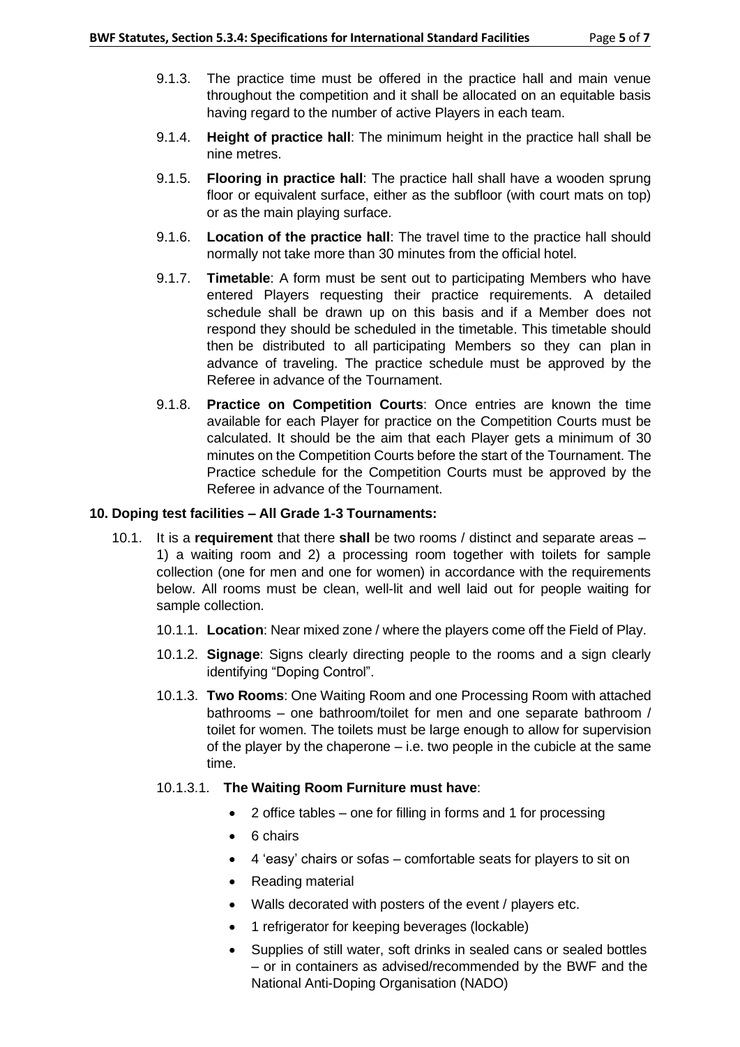- 9.1.3. The practice time must be offered in the practice hall and main venue throughout the competition and it shall be allocated on an equitable basis having regard to the number of active Players in each team.
- 9.1.4. **Height of practice hall**: The minimum height in the practice hall shall be nine metres.
- 9.1.5. **Flooring in practice hall**: The practice hall shall have a wooden sprung floor or equivalent surface, either as the subfloor (with court mats on top) or as the main playing surface.
- 9.1.6. **Location of the practice hall**: The travel time to the practice hall should normally not take more than 30 minutes from the official hotel.
- 9.1.7. **Timetable**: A form must be sent out to participating Members who have entered Players requesting their practice requirements. A detailed schedule shall be drawn up on this basis and if a Member does not respond they should be scheduled in the timetable. This timetable should then be distributed to all participating Members so they can plan in advance of traveling. The practice schedule must be approved by the Referee in advance of the Tournament.
- 9.1.8. **Practice on Competition Courts**: Once entries are known the time available for each Player for practice on the Competition Courts must be calculated. It should be the aim that each Player gets a minimum of 30 minutes on the Competition Courts before the start of the Tournament. The Practice schedule for the Competition Courts must be approved by the Referee in advance of the Tournament.

#### **10. Doping test facilities – All Grade 1-3 Tournaments:**

- 10.1. It is a **requirement** that there **shall** be two rooms / distinct and separate areas 1) a waiting room and 2) a processing room together with toilets for sample collection (one for men and one for women) in accordance with the requirements below. All rooms must be clean, well-lit and well laid out for people waiting for sample collection.
	- 10.1.1. **Location**: Near mixed zone / where the players come off the Field of Play.
	- 10.1.2. **Signage**: Signs clearly directing people to the rooms and a sign clearly identifying "Doping Control".
	- 10.1.3. **Two Rooms**: One Waiting Room and one Processing Room with attached bathrooms – one bathroom/toilet for men and one separate bathroom / toilet for women. The toilets must be large enough to allow for supervision of the player by the chaperone – i.e. two people in the cubicle at the same time.
	- 10.1.3.1. **The Waiting Room Furniture must have**:
		- 2 office tables one for filling in forms and 1 for processing
		- 6 chairs
		- 4 'easy' chairs or sofas comfortable seats for players to sit on
		- Reading material
		- Walls decorated with posters of the event / players etc.
		- 1 refrigerator for keeping beverages (lockable)
		- Supplies of still water, soft drinks in sealed cans or sealed bottles – or in containers as advised/recommended by the BWF and the National Anti-Doping Organisation (NADO)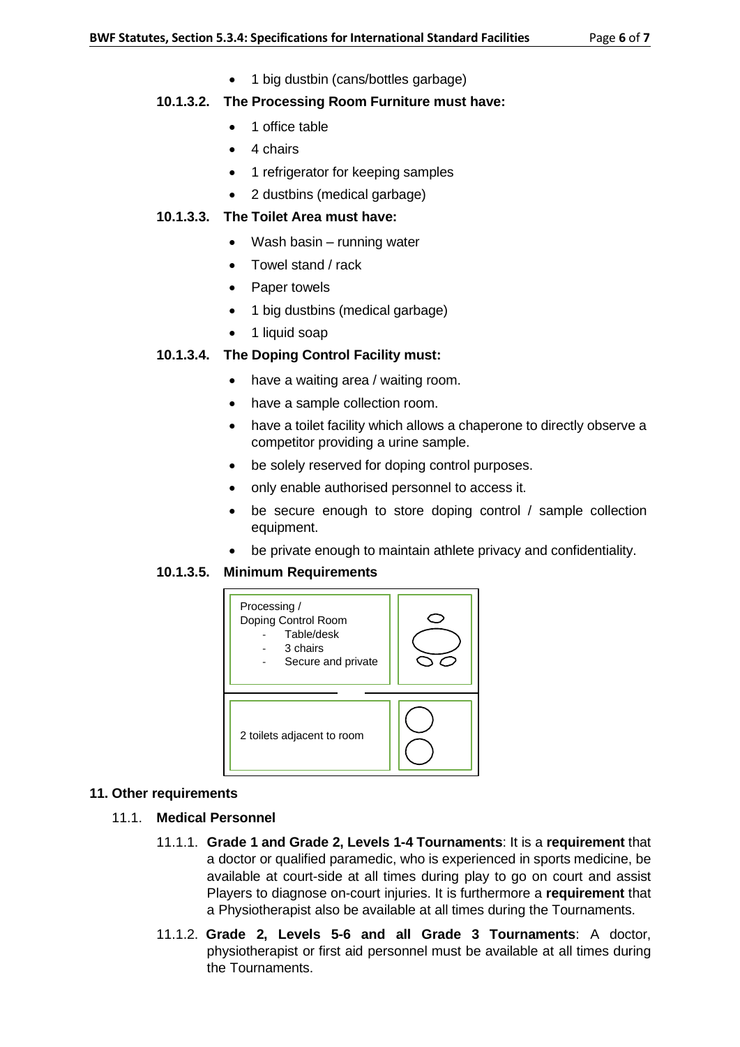• 1 big dustbin (cans/bottles garbage)

# **10.1.3.2. The Processing Room Furniture must have:**

- 1 office table
- 4 chairs
- 1 refrigerator for keeping samples
- 2 dustbins (medical garbage)

## **10.1.3.3. The Toilet Area must have:**

- Wash basin running water
- Towel stand / rack
- Paper towels
- 1 big dustbins (medical garbage)
- 1 liquid soap

# **10.1.3.4. The Doping Control Facility must:**

- have a waiting area / waiting room.
- have a sample collection room.
- have a toilet facility which allows a chaperone to directly observe a competitor providing a urine sample.
- be solely reserved for doping control purposes.
- only enable authorised personnel to access it.
- be secure enough to store doping control / sample collection equipment.
- be private enough to maintain athlete privacy and confidentiality.

#### **10.1.3.5. Minimum Requirements**



#### **11. Other requirements**

- 11.1. **Medical Personnel**
	- 11.1.1. **Grade 1 and Grade 2, Levels 1-4 Tournaments**: It is a **requirement** that a doctor or qualified paramedic, who is experienced in sports medicine, be available at court-side at all times during play to go on court and assist Players to diagnose on-court injuries. It is furthermore a **requirement** that a Physiotherapist also be available at all times during the Tournaments.
	- 11.1.2. **Grade 2, Levels 5-6 and all Grade 3 Tournaments**: A doctor, physiotherapist or first aid personnel must be available at all times during the Tournaments.